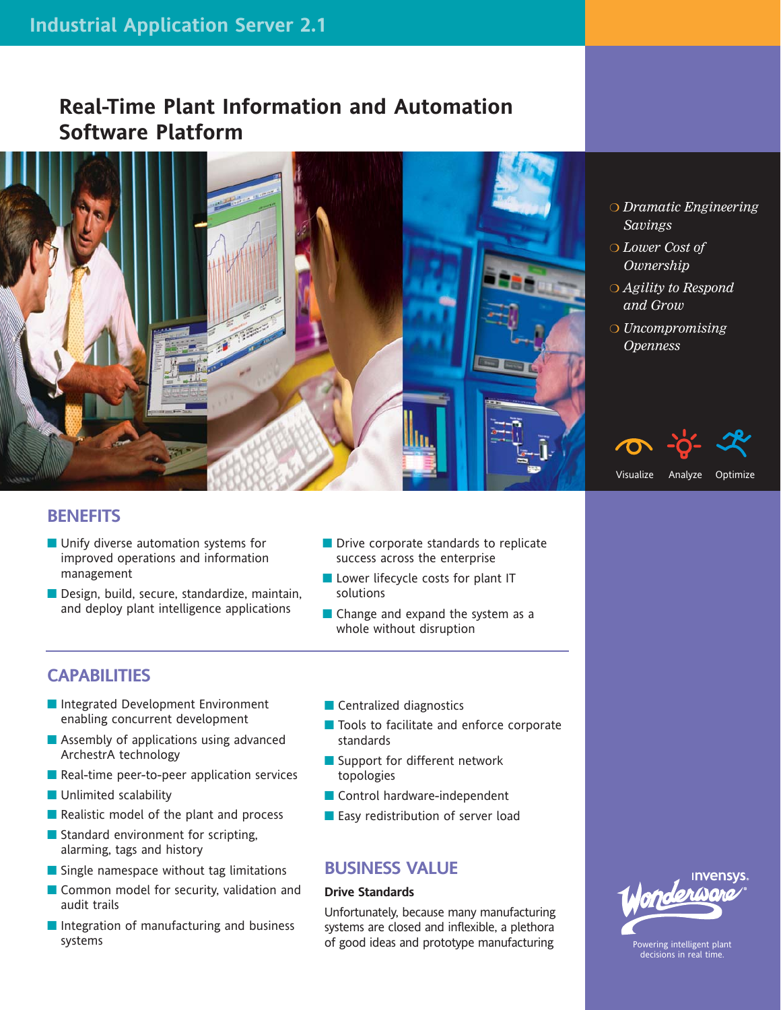# **Real-Time Plant Information and Automation Software Platform**



### **BENEFITS**

- **Unify diverse automation systems for** improved operations and information management
- Design, build, secure, standardize, maintain, and deploy plant intelligence applications
- **Drive corporate standards to replicate** success across the enterprise
- Lower lifecycle costs for plant IT solutions
- Change and expand the system as a whole without disruption

## **CAPABILITIES**

- Integrated Development Environment enabling concurrent development
- **Assembly of applications using advanced** ArchestrA technology
- Real-time peer-to-peer application services
- **Unlimited scalability**
- Realistic model of the plant and process
- Standard environment for scripting, alarming, tags and history
- Single namespace without tag limitations
- Common model for security, validation and audit trails
- Integration of manufacturing and business systems
- Centralized diagnostics
- Tools to facilitate and enforce corporate standards
- Support for different network topologies
- Control hardware-independent
- **Easy redistribution of server load**

### **BUSINESS VALUE**

#### **Drive Standards**

Unfortunately, because many manufacturing systems are closed and inflexible, a plethora of good ideas and prototype manufacturing



- *Lower Cost of*
- *Agility to Respond*
- *Uncompromising*





Powering intelligent plant decisions in real time.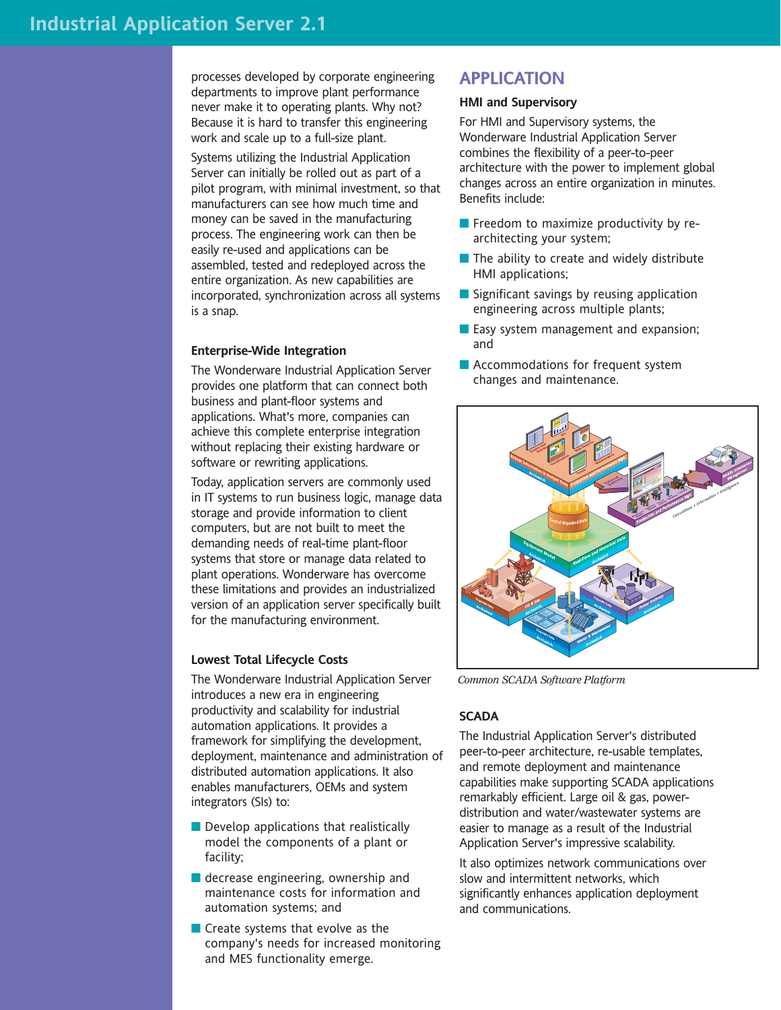processes developed by corporate engineering departments to improve plant performance never make it to operating plants. Why not? Because it is hard to transfer this engineering work and scale up to a full-size plant.

Systems utilizing the Industrial Application Server can initially be rolled out as part of a pilot program, with minimal investment, so that manufacturers can see how much time and money can be saved in the manufacturing process. The engineering work can then be easily re-used and applications can be assembled, tested and redeployed across the entire organization. As new capabilities are incorporated, synchronization across all systems is a snap.

#### **Enterprise-Wide Integration**

The Wonderware Industrial Application Server provides one platform that can connect both business and plant-floor systems and applications. What's more, companies can achieve this complete enterprise integration without replacing their existing hardware or software or rewriting applications.

Today, application servers are commonly used in IT systems to run business logic, manage data storage and provide information to client computers, but are not built to meet the demanding needs of real-time plant-floor systems that store or manage data related to plant operations. Wonderware has overcome these limitations and provides an industrialized version of an application server specifically built for the manufacturing environment.

#### **Lowest Total Lifecycle Costs**

The Wonderware Industrial Application Server introduces a new era in engineering productivity and scalability for industrial automation applications. It provides a framework for simplifying the development, deployment, maintenance and administration of distributed automation applications. It also enables manufacturers, OEMs and system integrators (SIs) to:

- Develop applications that realistically model the components of a plant or facility;
- decrease engineering, ownership and maintenance costs for information and automation systems; and
- Create systems that evolve as the company's needs for increased monitoring and MES functionality emerge.

### **APPLICATION**

#### **HMI and Supervisory**

For HMI and Supervisory systems, the Wonderware Industrial Application Server combines the flexibility of a peer-to-peer architecture with the power to implement global changes across an entire organization in minutes. Benefits include:

- **Freedom to maximize productivity by re**architecting your system;
- $\blacksquare$  The ability to create and widely distribute HMI applications;
- Significant savings by reusing application engineering across multiple plants;
- **Easy system management and expansion;** and
- **Accommodations for frequent system** changes and maintenance.



*Common SCADA Software Platform*

#### **SCADA**

The Industrial Application Server's distributed peer-to-peer architecture, re-usable templates, and remote deployment and maintenance capabilities make supporting SCADA applications remarkably efficient. Large oil & gas, powerdistribution and water/wastewater systems are easier to manage as a result of the Industrial Application Server's impressive scalability.

It also optimizes network communications over slow and intermittent networks, which significantly enhances application deployment and communications.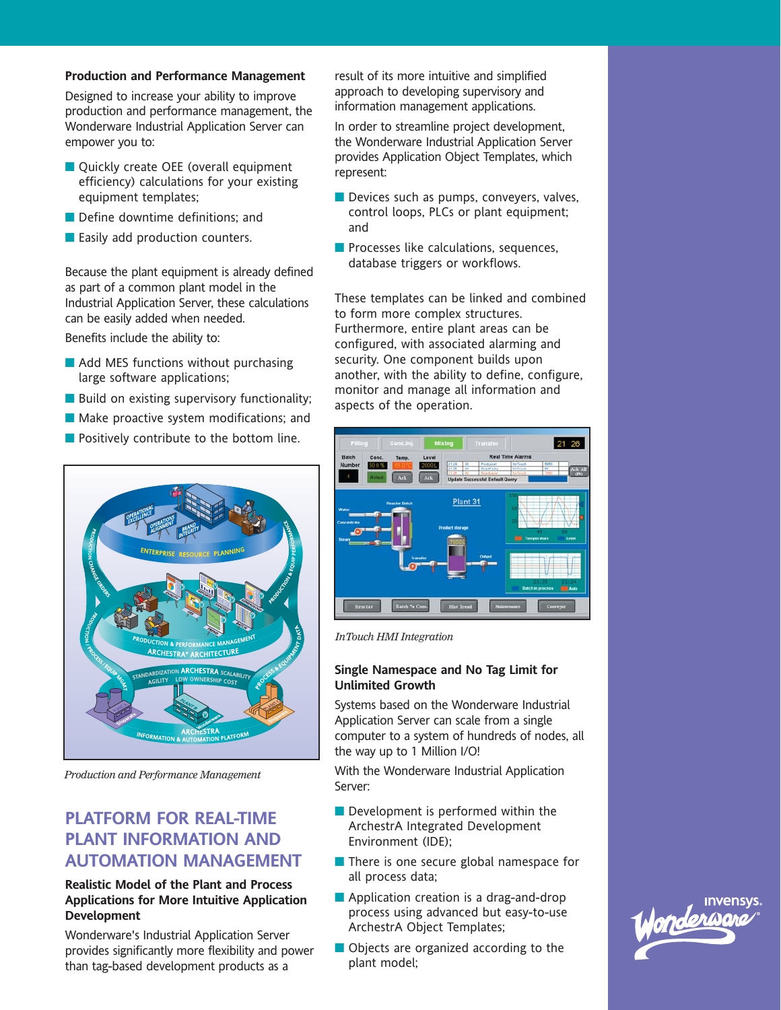#### **Production and Performance Management**

Designed to increase your ability to improve production and performance management, the Wonderware Industrial Application Server can empower you to:

- Quickly create OEE (overall equipment efficiency) calculations for your existing equipment templates;
- Define downtime definitions; and
- Easily add production counters.

Because the plant equipment is already defined as part of a common plant model in the Industrial Application Server, these calculations can be easily added when needed.

Benefits include the ability to:

- **Add MES functions without purchasing** large software applications;
- **Build on existing supervisory functionality;**
- **Make proactive system modifications; and**
- **Positively contribute to the bottom line.**



*Production and Performance Management*

# **PLATFORM FOR REAL-TIME PLANT INFORMATION AND AUTOMATION MANAGEMENT**

#### **Realistic Model of the Plant and Process Applications for More Intuitive Application Development**

Wonderware's Industrial Application Server provides significantly more flexibility and power than tag-based development products as a

result of its more intuitive and simplified approach to developing supervisory and information management applications.

In order to streamline project development, the Wonderware Industrial Application Server provides Application Object Templates, which represent:

- Devices such as pumps, conveyers, valves, control loops, PLCs or plant equipment; and
- **Processes like calculations, sequences,** database triggers or workflows.

These templates can be linked and combined to form more complex structures. Furthermore, entire plant areas can be configured, with associated alarming and security. One component builds upon another, with the ability to define, configure, monitor and manage all information and aspects of the operation.



*InTouch HMI Integration*

#### **Single Namespace and No Tag Limit for Unlimited Growth**

Systems based on the Wonderware Industrial Application Server can scale from a single computer to a system of hundreds of nodes, all the way up to 1 Million I/O!

With the Wonderware Industrial Application Server:

- **Development is performed within the** ArchestrA Integrated Development Environment (IDE);
- There is one secure global namespace for all process data;
- **Application creation is a drag-and-drop** process using advanced but easy-to-use ArchestrA Object Templates;
- Objects are organized according to the plant model;

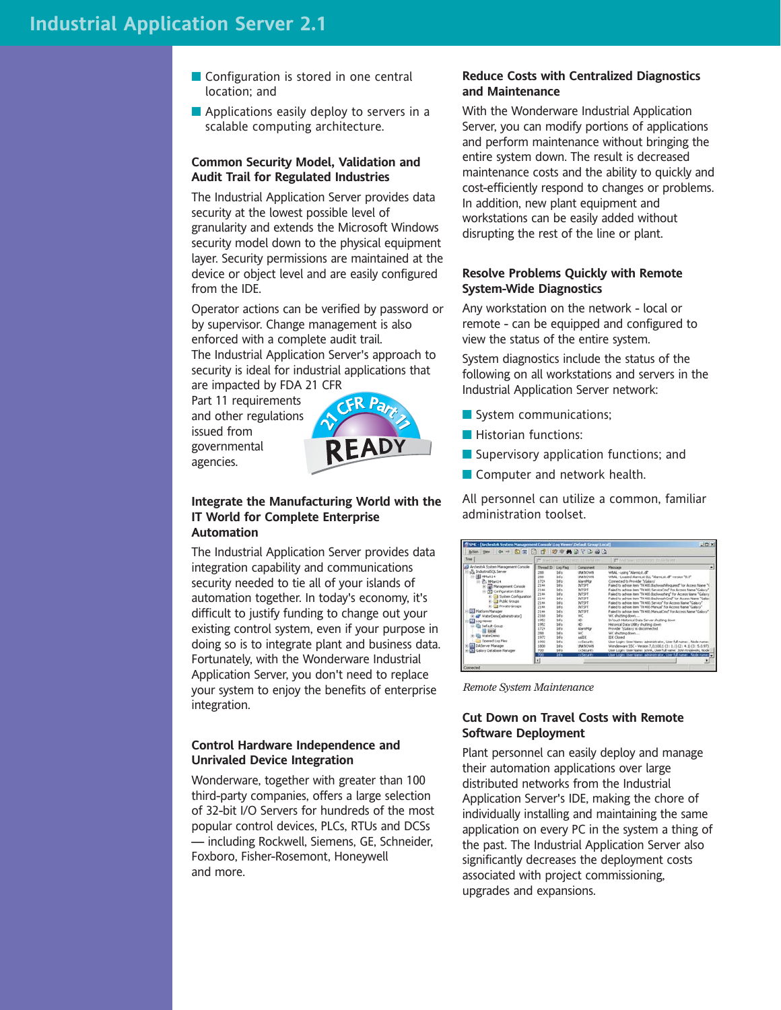- Configuration is stored in one central location; and
- **Applications easily deploy to servers in a** scalable computing architecture.

#### **Common Security Model, Validation and Audit Trail for Regulated Industries**

The Industrial Application Server provides data security at the lowest possible level of granularity and extends the Microsoft Windows security model down to the physical equipment layer. Security permissions are maintained at the device or object level and are easily configured from the IDE.

Operator actions can be verified by password or by supervisor. Change management is also enforced with a complete audit trail. The Industrial Application Server's approach to security is ideal for industrial applications that are impacted by FDA 21 CFR

Part 11 requirements and other regulations issued from governmental agencies.



#### **Integrate the Manufacturing World with the IT World for Complete Enterprise Automation**

The Industrial Application Server provides data integration capability and communications security needed to tie all of your islands of automation together. In today's economy, it's difficult to justify funding to change out your existing control system, even if your purpose in doing so is to integrate plant and business data. Fortunately, with the Wonderware Industrial Application Server, you don't need to replace your system to enjoy the benefits of enterprise integration.

#### **Control Hardware Independence and Unrivaled Device Integration**

Wonderware, together with greater than 100 third-party companies, offers a large selection of 32-bit I/O Servers for hundreds of the most popular control devices, PLCs, RTUs and DCSs — including Rockwell, Siemens, GE, Schneider, Foxboro, Fisher-Rosemont, Honeywell and more.

#### **Reduce Costs with Centralized Diagnostics and Maintenance**

With the Wonderware Industrial Application Server, you can modify portions of applications and perform maintenance without bringing the entire system down. The result is decreased maintenance costs and the ability to quickly and cost-efficiently respond to changes or problems. In addition, new plant equipment and workstations can be easily added without disrupting the rest of the line or plant.

#### **Resolve Problems Quickly with Remote System-Wide Diagnostics**

Any workstation on the network - local or remote - can be equipped and configured to view the status of the entire system.

System diagnostics include the status of the following on all workstations and servers in the Industrial Application Server network:

- System communications;
- **Historian functions:**
- Supervisory application functions; and
- **Computer and network health.**

All personnel can utilize a common, familiar administration toolset.

| Trees                                                                                                                                                                                                                                                                                                                                                                                                                                                                                            | E Stether Grandwin Hassare<br>IT is the common tractor                                                                                                                                                                                                                                                                                                                                       |                                                                                                                                                                                                                                                                                                                         |                                                                                                                                                                                                                                                                                                                                                                                                                                                                                                                                                                                                                                                                                                                                                                                                                                                                                                                                                                                                                                                                                                         |        |
|--------------------------------------------------------------------------------------------------------------------------------------------------------------------------------------------------------------------------------------------------------------------------------------------------------------------------------------------------------------------------------------------------------------------------------------------------------------------------------------------------|----------------------------------------------------------------------------------------------------------------------------------------------------------------------------------------------------------------------------------------------------------------------------------------------------------------------------------------------------------------------------------------------|-------------------------------------------------------------------------------------------------------------------------------------------------------------------------------------------------------------------------------------------------------------------------------------------------------------------------|---------------------------------------------------------------------------------------------------------------------------------------------------------------------------------------------------------------------------------------------------------------------------------------------------------------------------------------------------------------------------------------------------------------------------------------------------------------------------------------------------------------------------------------------------------------------------------------------------------------------------------------------------------------------------------------------------------------------------------------------------------------------------------------------------------------------------------------------------------------------------------------------------------------------------------------------------------------------------------------------------------------------------------------------------------------------------------------------------------|--------|
| ArchestrA System Management Console<br>-5 IndustrialSQL Server<br>B Mark14<br>(i) (P., 101ari.) 4<br>and Management Console<br>Configuration Editor<br><b>K-B System Configuration</b><br><b>IR-E-3 Public Groups</b><br>(a) 3 Private Groups<br><b>III</b> Platform Manager<br>all <sup>y</sup> WaterCenco admirato stor?<br><b>El Log Vever</b><br><b>Co</b> Default Group<br>10 Local<br><b>Els</b> WaterCreng<br>Opened Log Files<br><b>BL DAServer Manager</b><br>5 Galaxy Database Manager | Thread ID Log Fing<br>tedio<br>269<br>388<br><b>Info</b><br>Irdo.<br>1724<br>Info<br>2144<br>Info<br>2144<br><b>Infu</b><br>2144<br><b>trés</b><br>2144<br>tehn<br>2144<br>100%<br>2144<br>tréo.<br>2544<br><b>b</b> Va<br>2168<br>146<br>1962<br>Info<br>1952<br>1724<br>tréu<br>byfu<br>268<br><b>Info</b><br>1972<br>1992<br>146<br>tréo<br>1800<br>700<br>tréo<br>Жó<br><b>Info</b><br>u | Component<br><b>LEWNOWN</b><br><b>LINENCAMIN</b><br><b>Navnihar</b><br><b>INTSPT</b><br><b>INTSPT</b><br><b>INTSPT</b><br><b>INTSPT</b><br>INTSPT<br><b>INTSPT</b><br><b>INTSPT</b><br>WC<br>10 <sup>2</sup><br>HD.<br><b>AlamPlg</b><br>WC.<br>asite<br>xxSecurity<br><b>LINOVANI</b><br>xxSecurity<br><b>VISHOARA</b> | Message<br>WHAL - using "AlarmLet.dl"<br>WNAL - Loaded Alarmi st CLL "Alarmi st. dl" version "8.0"<br>Connected to Provider "IGalaxy"<br>Faled to advise item "TK400.SackwadtRequired" for Access Name "I<br>Faled to advise item "TK400.ServiceCmd" for Access Name "Galaxy"<br>Faled to advise item "TK400.Backwashing" for Access Name "Galaxy<br>Faled to advise item "TK400.BackwashCmd" for Access Name "Galaxi<br>Faled to advise item "TK400. Service" for Access Name "Galaxy"<br>Faled to advise item "TK400 Manual" for Access Name "Galaxy"<br>Faled to advise item "TK400 ManualCrud" for Access Name "Galaxy"<br>WC shutting down<br>InTouch Historical Data Server shutting down<br>Historical Data Utility shutting down<br>Provider '\Galaxy' is disconnected.<br>WC shutting down<br>IDE Closed<br>User Login: Liser Name: administrator, User full name: , Node name:<br>Wonderware SSC - Version 7,0,100,1 (3:11.1) (2:14.1) (3:5.0.97)<br>User Login: User Name: Johnk, User full name: John Kratewski, Node<br>they togin: they Name: administrator, they full name: ; Node name: | ٠<br>횐 |

*Remote System Maintenance*

#### **Cut Down on Travel Costs with Remote Software Deployment**

Plant personnel can easily deploy and manage their automation applications over large distributed networks from the Industrial Application Server's IDE, making the chore of individually installing and maintaining the same application on every PC in the system a thing of the past. The Industrial Application Server also significantly decreases the deployment costs associated with project commissioning, upgrades and expansions.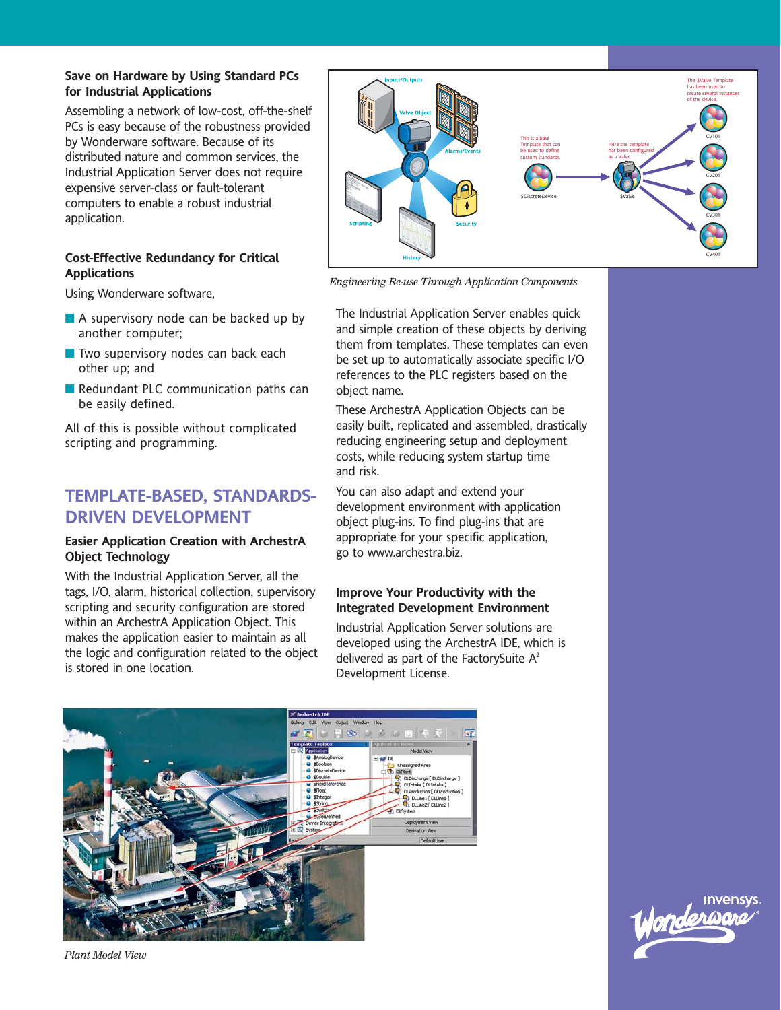#### **Save on Hardware by Using Standard PCs for Industrial Applications**

Assembling a network of low-cost, off-the-shelf PCs is easy because of the robustness provided by Wonderware software. Because of its distributed nature and common services, the Industrial Application Server does not require expensive server-class or fault-tolerant computers to enable a robust industrial application.

#### **Cost-Effective Redundancy for Critical Applications**

Using Wonderware software,

- A supervisory node can be backed up by another computer;
- $\blacksquare$  Two supervisory nodes can back each other up; and
- Redundant PLC communication paths can be easily defined.

All of this is possible without complicated scripting and programming.

# **TEMPLATE-BASED, STANDARDS-DRIVEN DEVELOPMENT**

#### **Easier Application Creation with ArchestrA Object Technology**

With the Industrial Application Server, all the tags, I/O, alarm, historical collection, supervisory scripting and security configuration are stored within an ArchestrA Application Object. This makes the application easier to maintain as all the logic and configuration related to the object is stored in one location.



*Engineering Re-use Through Application Components*

The Industrial Application Server enables quick and simple creation of these objects by deriving them from templates. These templates can even be set up to automatically associate specific I/O references to the PLC registers based on the object name.

These ArchestrA Application Objects can be easily built, replicated and assembled, drastically reducing engineering setup and deployment costs, while reducing system startup time and risk.

You can also adapt and extend your development environment with application object plug-ins. To find plug-ins that are appropriate for your specific application, go to www.archestra.biz.

#### **Improve Your Productivity with the Integrated Development Environment**

Industrial Application Server solutions are developed using the ArchestrA IDE, which is delivered as part of the FactorySuite  $A^2$ Development License.



**Invensys** 

*Plant Model View*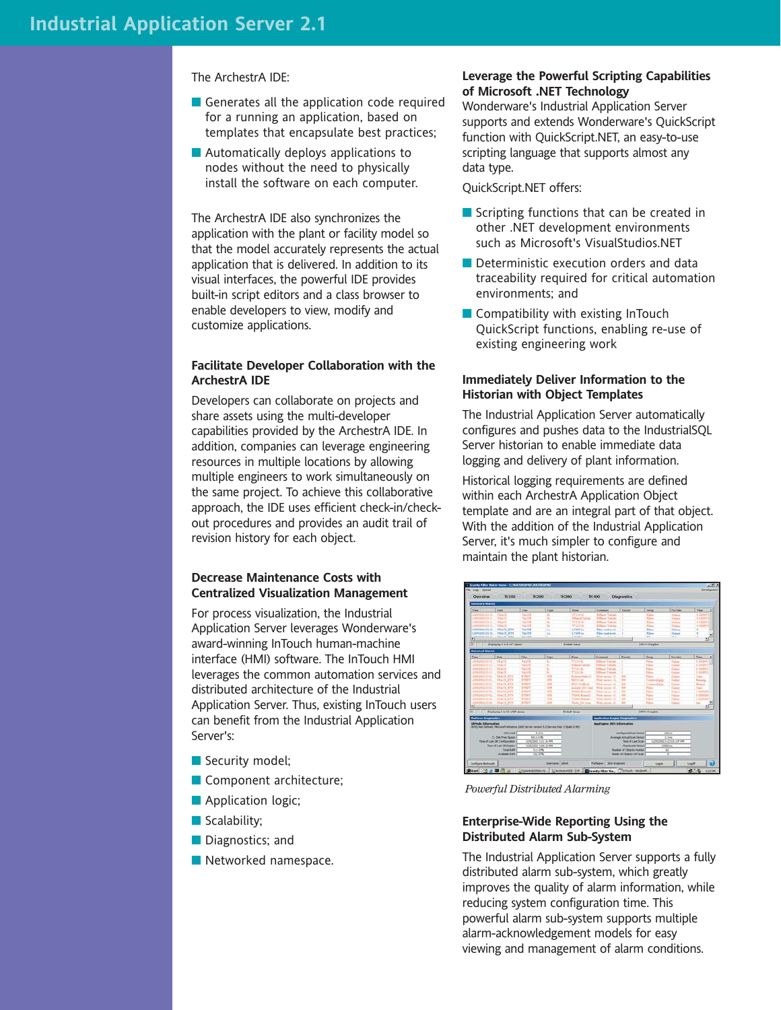#### The ArchestrA IDE:

- Generates all the application code required for a running an application, based on templates that encapsulate best practices;
- **Automatically deploys applications to** nodes without the need to physically install the software on each computer.

The ArchestrA IDE also synchronizes the application with the plant or facility model so that the model accurately represents the actual application that is delivered. In addition to its visual interfaces, the powerful IDE provides built-in script editors and a class browser to enable developers to view, modify and customize applications.

#### **Facilitate Developer Collaboration with the ArchestrA IDE**

Developers can collaborate on projects and share assets using the multi-developer capabilities provided by the ArchestrA IDE. In addition, companies can leverage engineering resources in multiple locations by allowing multiple engineers to work simultaneously on the same project. To achieve this collaborative approach, the IDE uses efficient check-in/checkout procedures and provides an audit trail of revision history for each object.

#### **Decrease Maintenance Costs with Centralized Visualization Management**

For process visualization, the Industrial Application Server leverages Wonderware's award-winning InTouch human-machine interface (HMI) software. The InTouch HMI leverages the common automation services and distributed architecture of the Industrial Application Server. Thus, existing InTouch users can benefit from the Industrial Application Server's:

- Security model;
- Component architecture;
- **Application logic;**
- Scalability;
- Diagnostics; and
- Networked namespace.

#### **Leverage the Powerful Scripting Capabilities of Microsoft .NET Technology**

Wonderware's Industrial Application Server supports and extends Wonderware's QuickScript function with QuickScript.NET, an easy-to-use scripting language that supports almost any data type.

QuickScript.NET offers:

- Scripting functions that can be created in other .NET development environments such as Microsoft's VisualStudios.NET
- Deterministic execution orders and data traceability required for critical automation environments; and
- Compatibility with existing InTouch QuickScript functions, enabling re-use of existing engineering work

#### **Immediately Deliver Information to the Historian with Object Templates**

The Industrial Application Server automatically configures and pushes data to the IndustrialSQL Server historian to enable immediate data logging and delivery of plant information.

Historical logging requirements are defined within each ArchestrA Application Object template and are an integral part of that object. With the addition of the Industrial Application Server, it's much simpler to configure and maintain the plant historian.



*Powerful Distributed Alarming*

#### **Enterprise-Wide Reporting Using the Distributed Alarm Sub-System**

The Industrial Application Server supports a fully distributed alarm sub-system, which greatly improves the quality of alarm information, while reducing system configuration time. This powerful alarm sub-system supports multiple alarm-acknowledgement models for easy viewing and management of alarm conditions.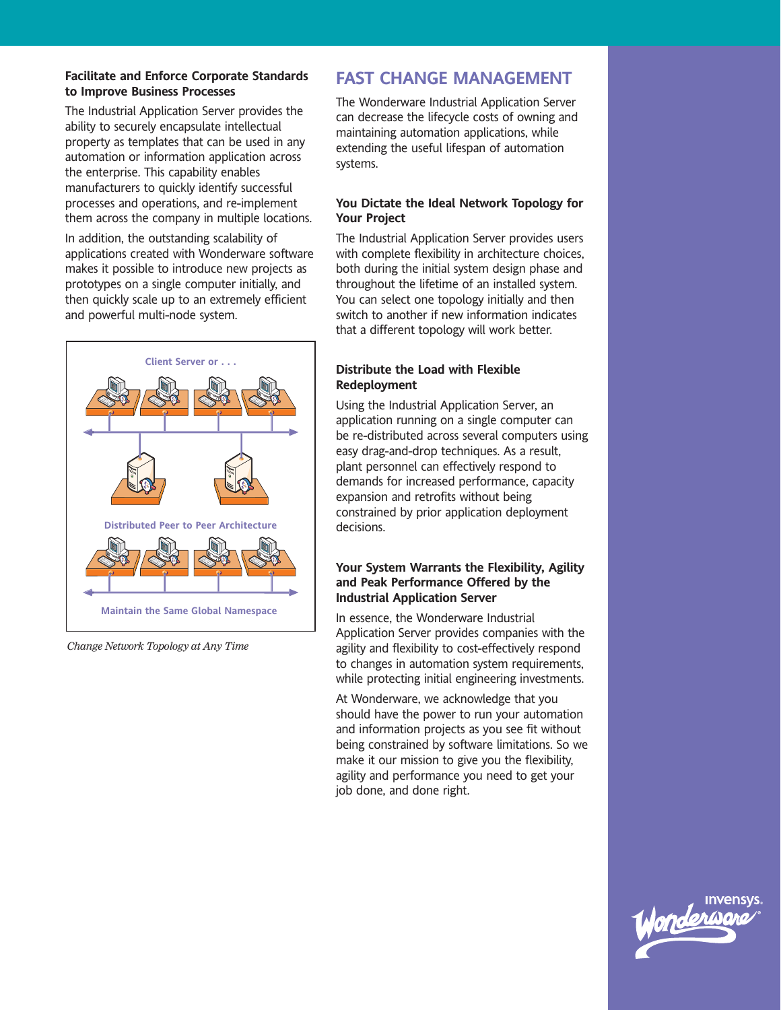#### **Facilitate and Enforce Corporate Standards to Improve Business Processes**

The Industrial Application Server provides the ability to securely encapsulate intellectual property as templates that can be used in any automation or information application across the enterprise. This capability enables manufacturers to quickly identify successful processes and operations, and re-implement them across the company in multiple locations.

In addition, the outstanding scalability of applications created with Wonderware software makes it possible to introduce new projects as prototypes on a single computer initially, and then quickly scale up to an extremely efficient and powerful multi-node system.



*Change Network Topology at Any Time*

# **FAST CHANGE MANAGEMENT**

The Wonderware Industrial Application Server can decrease the lifecycle costs of owning and maintaining automation applications, while extending the useful lifespan of automation systems.

#### **You Dictate the Ideal Network Topology for Your Project**

The Industrial Application Server provides users with complete flexibility in architecture choices, both during the initial system design phase and throughout the lifetime of an installed system. You can select one topology initially and then switch to another if new information indicates that a different topology will work better.

#### **Distribute the Load with Flexible Redeployment**

Using the Industrial Application Server, an application running on a single computer can be re-distributed across several computers using easy drag-and-drop techniques. As a result, plant personnel can effectively respond to demands for increased performance, capacity expansion and retrofits without being constrained by prior application deployment decisions.

#### **Your System Warrants the Flexibility, Agility and Peak Performance Offered by the Industrial Application Server**

In essence, the Wonderware Industrial Application Server provides companies with the agility and flexibility to cost-effectively respond to changes in automation system requirements, while protecting initial engineering investments.

At Wonderware, we acknowledge that you should have the power to run your automation and information projects as you see fit without being constrained by software limitations. So we make it our mission to give you the flexibility, agility and performance you need to get your job done, and done right.